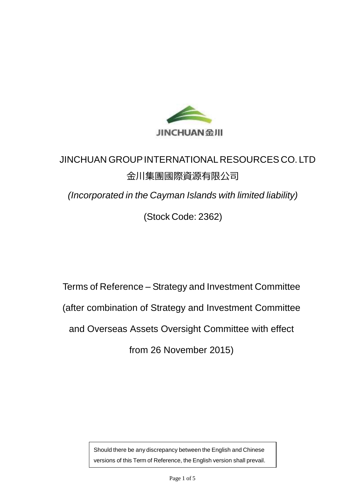

# JINCHUAN GROUPINTERNATIONALRESOURCES CO. LTD 金川集團國際資源有限公司

*(Incorporated in the Cayman Islands with limited liability)*

(Stock Code: 2362)

Terms of Reference – Strategy and Investment Committee (after combination of Strategy and Investment Committee and Overseas Assets Oversight Committee with effect from 26 November 2015)

> Should there be any discrepancy between the English and Chinese versions of this Term of Reference, the English version shall prevail.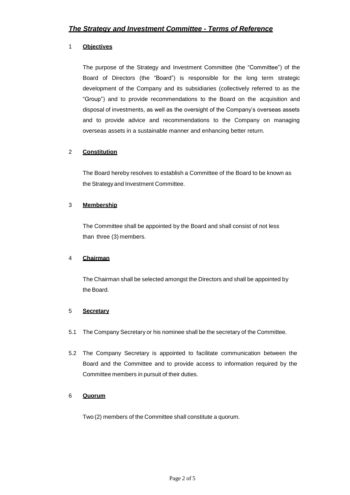# 1 **Objectives**

The purpose of the Strategy and Investment Committee (the "Committee") of the Board of Directors (the "Board") is responsible for the long term strategic development of the Company and its subsidiaries (collectively referred to as the "Group") and to provide recommendations to the Board on the acquisition and disposal of investments, as well as the oversight of the Company's overseas assets and to provide advice and recommendations to the Company on managing overseas assets in a sustainable manner and enhancing better return.

# 2 **Constitution**

The Board hereby resolves to establish a Committee of the Board to be known as the Strategyand Investment Committee.

# 3 **Membership**

The Committee shall be appointed by the Board and shall consist of not less than three (3) members.

# 4 **Chairman**

The Chairman shall be selected amongst the Directors and shall be appointed by the Board.

#### 5 **Secretary**

- 5.1 The Company Secretary or his nominee shall be the secretary of the Committee.
- 5.2 The Company Secretary is appointed to facilitate communication between the Board and the Committee and to provide access to information required by the Committee members in pursuit of their duties.

#### 6 **Quorum**

Two (2) members of the Committee shall constitute a quorum.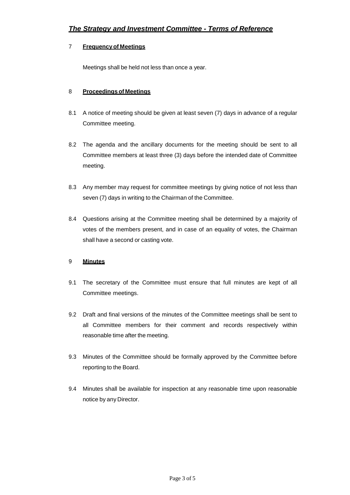## 7 **Frequency of Meetings**

Meetings shall be held not less than once a year.

#### 8 **Proceedings of Meetings**

- 8.1 A notice of meeting should be given at least seven (7) days in advance of a regular Committee meeting.
- 8.2 The agenda and the ancillary documents for the meeting should be sent to all Committee members at least three (3) days before the intended date of Committee meeting.
- 8.3 Any member may request for committee meetings by giving notice of not less than seven (7) days in writing to the Chairman of the Committee.
- 8.4 Questions arising at the Committee meeting shall be determined by a majority of votes of the members present, and in case of an equality of votes, the Chairman shall have a second or casting vote.

# 9 **Minutes**

- 9.1 The secretary of the Committee must ensure that full minutes are kept of all Committee meetings.
- 9.2 Draft and final versions of the minutes of the Committee meetings shall be sent to all Committee members for their comment and records respectively within reasonable time after the meeting.
- 9.3 Minutes of the Committee should be formally approved by the Committee before reporting to the Board.
- 9.4 Minutes shall be available for inspection at any reasonable time upon reasonable notice by any Director.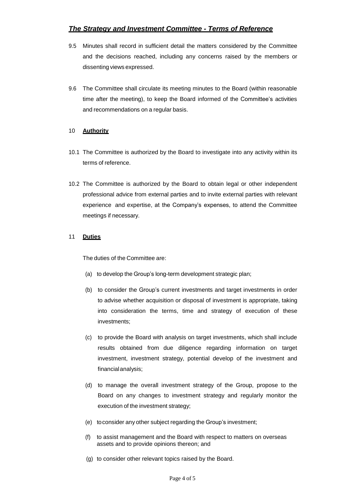# *The Strategy and Investment Committee - Terms of Reference*

- 9.5 Minutes shall record in sufficient detail the matters considered by the Committee and the decisions reached, including any concerns raised by the members or dissenting views expressed.
- 9.6 The Committee shall circulate its meeting minutes to the Board (within reasonable time after the meeting), to keep the Board informed of the Committee's activities and recommendations on a regular basis.

#### 10 **Authority**

- 10.1 The Committee is authorized by the Board to investigate into any activity within its terms of reference.
- 10.2 The Committee is authorized by the Board to obtain legal or other independent professional advice from external parties and to invite external parties with relevant experience and expertise, at the Company's expenses, to attend the Committee meetings if necessary.

#### 11 **Duties**

The duties of the Committee are:

- (a) to develop the Group's long-term development strategic plan;
- (b) to consider the Group's current investments and target investments in order to advise whether acquisition or disposal of investment is appropriate, taking into consideration the terms, time and strategy of execution of these investments;
- (c) to provide the Board with analysis on target investments, which shall include results obtained from due diligence regarding information on target investment, investment strategy, potential develop of the investment and financialanalysis;
- (d) to manage the overall investment strategy of the Group, propose to the Board on any changes to investment strategy and regularly monitor the execution of the investment strategy;
- (e) toconsider any other subject regarding the Group's investment;
- (f) to assist management and the Board with respect to matters on overseas assets and to provide opinions thereon; and
- (g) to consider other relevant topics raised by the Board.